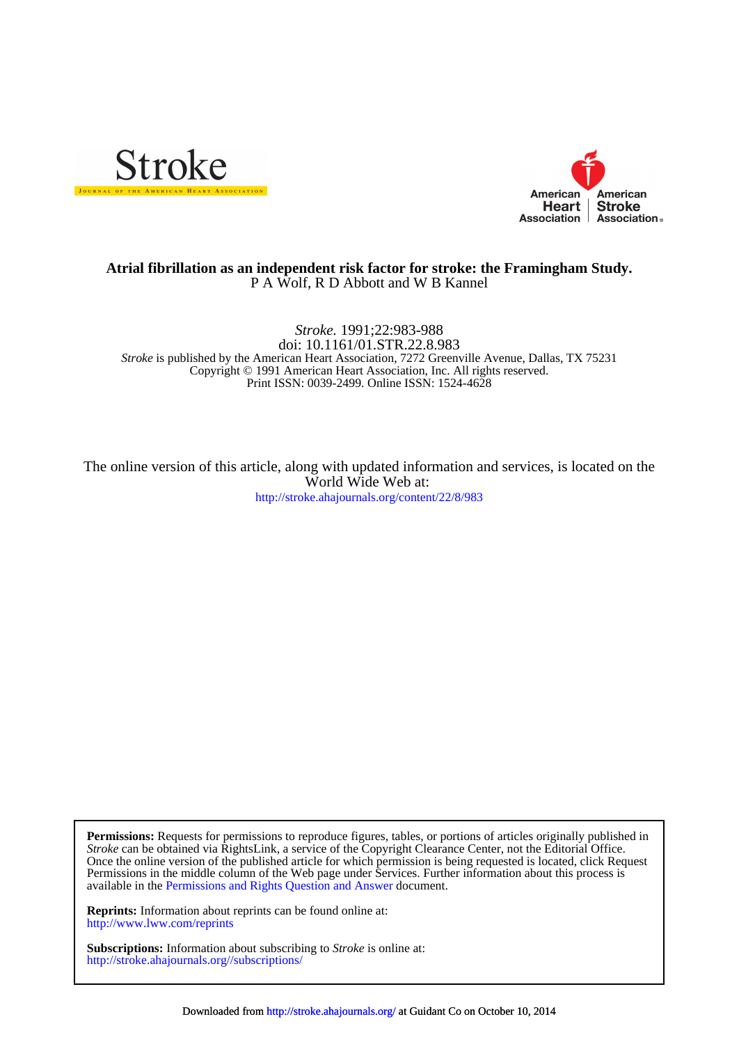



# P A Wolf, R D Abbott and W B Kannel **Atrial fibrillation as an independent risk factor for stroke: the Framingham Study.**

Print ISSN: 0039-2499. Online ISSN: 1524-4628 Copyright © 1991 American Heart Association, Inc. All rights reserved. *Stroke* is published by the American Heart Association, 7272 Greenville Avenue, Dallas, TX 75231 doi: 10.1161/01.STR.22.8.983 *Stroke.* 1991;22:983-988

<http://stroke.ahajournals.org/content/22/8/983> World Wide Web at: The online version of this article, along with updated information and services, is located on the

available in the [Permissions and Rights Question and Answer d](http://www.ahajournals.org/site/rights/)ocument. Permissions in the middle column of the Web page under Services. Further information about this process is Once the online version of the published article for which permission is being requested is located, click Request *Stroke* can be obtained via RightsLink, a service of the Copyright Clearance Center, not the Editorial Office. **Permissions:** Requests for permissions to reproduce figures, tables, or portions of articles originally published in

<http://www.lww.com/reprints> **Reprints:** Information about reprints can be found online at:

<http://stroke.ahajournals.org//subscriptions/> **Subscriptions:** Information about subscribing to *Stroke* is online at: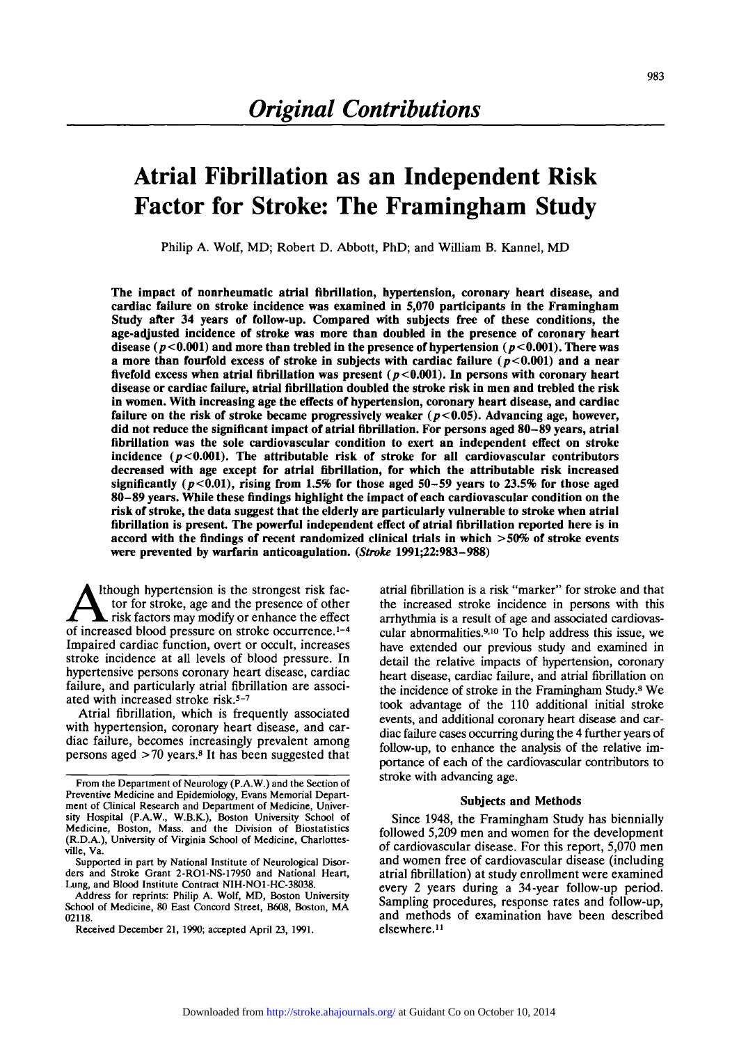# **Atrial Fibrillation as an Independent Risk Factor for Stroke: The Framingham Study**

**Philip A. Wolf, MD; Robert D. Abbott, PhD; and William B. Kannel, MD**

**The impact of nonrheumatic atrial fibrillation, hypertension, coronary heart disease, and cardiac failure on stroke incidence was examined in 5,070 participants in the Framingham Study after 34 years of follow-up. Compared with subjects free of these conditions, the age-adjusted incidence of stroke was more than doubled in the presence of coronary heart** disease  $(p<0.001)$  and more than trebled in the presence of hypertension  $(p<0.001)$ . There was **a more than fourfold excess of stroke in subjects with cardiac failure (** $p$ **<0.001) and a near** fivefold excess when atrial fibrillation was present  $(p<0.001)$ . In persons with coronary heart **disease or cardiac failure, atrial fibrillation doubled the stroke risk in men and trebled the risk in women. With increasing age the effects of hypertension, coronary heart disease, and cardiac failure on the risk of stroke became progressively weaker (p<0.05). Advancing age, however, did not reduce the significant impact of atrial fibrillation. For persons aged 80-89 years, atrial fibrillation was the sole cardiovascular condition to exert an independent effect on stroke** incidence  $(p<0.001)$ . The attributable risk of stroke for all cardiovascular contributors **decreased with age except for atrial fibrillation, for which the attributable risk increased** significantly ( $p<0.01$ ), rising from 1.5% for those aged 50-59 years to 23.5% for those aged **80-89 years. While these findings highlight the impact of each cardiovascular condition on the risk of stroke, the data suggest that the elderly are particularly vulnerable to stroke when atrial** fibrillation is present. The powerful independent effect of atrial fibrillation reported here is in **accord with the findings of recent randomized clinical trials in which >50% of stroke events were prevented by warfarin anticoagulation.** *(Stroke* **1991^2:983-988)**

Ithough hypertension is the strongest risk factor for stroke, age and the presence of other  $\overline{\phantom{a}}$  risk factors may modify or enhance the effect of increased blood pressure on stroke occurrence.<sup>1-4</sup> Impaired cardiac function, overt or occult, increases stroke incidence at all levels of blood pressure. In hypertensive persons coronary heart disease, cardiac failure, and particularly atrial fibrillation are associated with increased stroke risk.<sup>5-7</sup>

Atrial fibrillation, which is frequently associated with hypertension, coronary heart disease, and cardiac failure, becomes increasingly prevalent among persons aged >70 years.8 It has been suggested that

Address for reprints: Philip A. Wolf, MD, Boston University School of Medicine, 80 East Concord Street, B608, Boston, MA 02118.

atrial fibrillation is a risk "marker" for stroke and that the increased stroke incidence in persons with this arrhythmia is a result of age and associated cardiovascular abnormalities.<sup>9,10</sup> To help address this issue, we have extended our previous study and examined in detail the relative impacts of hypertension, coronary heart disease, cardiac failure, and atrial fibrillation on the incidence of stroke in the Framingham Study.8 We took advantage of the 110 additional initial stroke events, and additional coronary heart disease and cardiac failure cases occurring during the 4 further years of follow-up, to enhance the analysis of the relative importance of each of the cardiovascular contributors to stroke with advancing age.

# **Subjects and Methods**

Since 1948, the Framingham Study has biennially followed 5,209 men and women for the development of cardiovascular disease. For this report, 5,070 men and women free of cardiovascular disease (including atrial fibrillation) at study enrollment were examined every 2 years during a 34-year follow-up period. Sampling procedures, response rates and follow-up, and methods of examination have been described elsewhere.<sup>11</sup>

From the Department of Neurology (P.A.W.) and the Section of Preventive Medicine and Epidemiology, Evans Memorial Depart-<br>ment of Clinical Research and Department of Medicine, Univer-<br>sity Hospital (P.A.W., W.B.K.), Boston University School of Medicine, Boston, Mass, and the Division of Biostatistics (R.D.A.), University of Virginia School of Medicine, Charlottes- ville, Va.

Supported in part by National Institute of Neurological Disor- ders and Stroke Grant 2-RO1-NS-17950 and National Heart, Lung, and Blood Institute Contract NIH-NO1-HC-38038.

Received December 21, 1990; accepted April 23, 1991.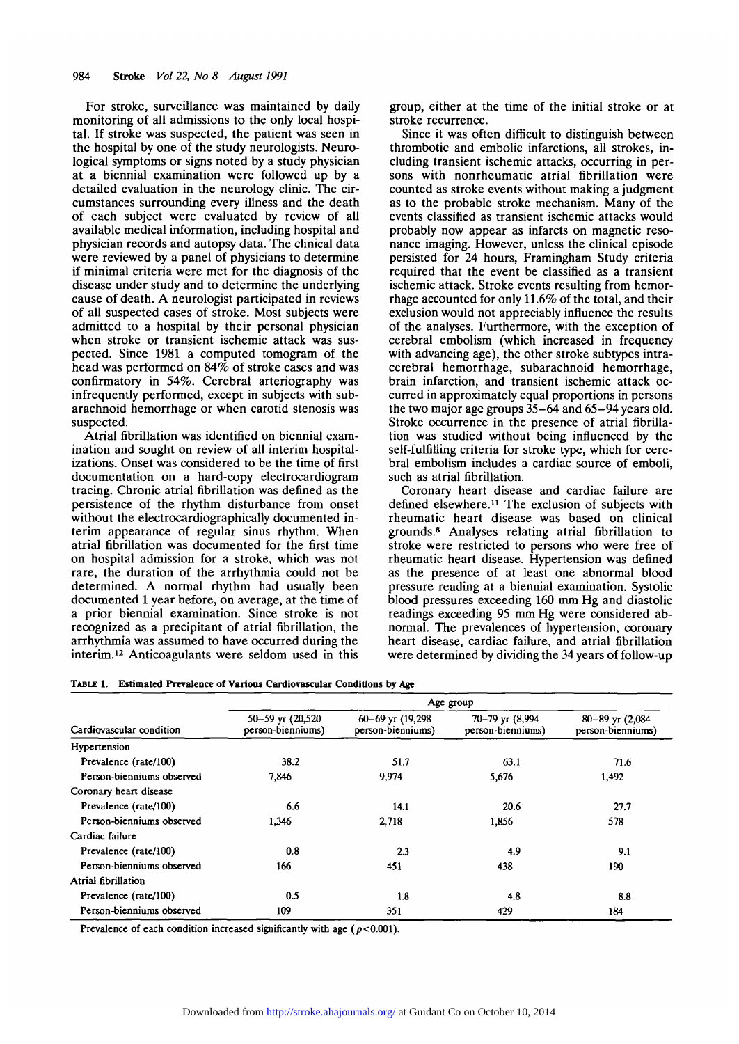For stroke, surveillance was maintained by daily monitoring of all admissions to the only local hospital. If stroke was suspected, the patient was seen in the hospital by one of the study neurologists. Neurological symptoms or signs noted by a study physician at a biennial examination were followed up by a detailed evaluation in the neurology clinic. The circumstances surrounding every illness and the death of each subject were evaluated by review of all available medical information, including hospital and physician records and autopsy data. The clinical data were reviewed by a panel of physicians to determine if minimal criteria were met for the diagnosis of the disease under study and to determine the underlying cause of death. A neurologist participated in reviews of all suspected cases of stroke. Most subjects were admitted to a hospital by their personal physician when stroke or transient ischemic attack was suspected. Since 1981 a computed tomogram of the head was performed on 84% of stroke cases and was confirmatory in 54%. Cerebral arteriography was infrequently performed, except in subjects with subarachnoid hemorrhage or when carotid stenosis was suspected.

Atrial fibrillation was identified on biennial examination and sought on review of all interim hospitalizations. Onset was considered to be the time of first documentation on a hard-copy electrocardiogram tracing. Chronic atrial fibrillation was defined as the persistence of the rhythm disturbance from onset without the electrocardiographically documented interim appearance of regular sinus rhythm. When atrial fibrillation was documented for the first time on hospital admission for a stroke, which was not rare, the duration of the arrhythmia could not be determined. A normal rhythm had usually been documented 1 year before, on average, at the time of a prior biennial examination. Since stroke is not recognized as a precipitant of atrial fibrillation, the arrhythmia was assumed to have occurred during the interim.<sup>12</sup> Anticoagulants were seldom used in this

group, either at the time of the initial stroke or at stroke recurrence.

Since it was often difficult to distinguish between thrombotic and embolic infarctions, all strokes, including transient ischemic attacks, occurring in persons with nonrheumatic atrial fibrillation were counted as stroke events without making a judgment as to the probable stroke mechanism. Many of the events classified as transient ischemic attacks would probably now appear as infarcts on magnetic resonance imaging. However, unless the clinical episode persisted for 24 hours, Framingham Study criteria required that the event be classified as a transient ischemic attack. Stroke events resulting from hemorrhage accounted for only 11.6% of the total, and their exclusion would not appreciably influence the results of the analyses. Furthermore, with the exception of cerebral embolism (which increased in frequency with advancing age), the other stroke subtypes intracerebral hemorrhage, subarachnoid hemorrhage, brain infarction, and transient ischemic attack occurred in approximately equal proportions in persons the two major age groups 35-64 and 65-94 years old. Stroke occurrence in the presence of atrial fibrillation was studied without being influenced by the self-fulfilling criteria for stroke type, which for cerebral embolism includes a cardiac source of emboli, such as atrial fibrillation.

Coronary heart disease and cardiac failure are defined elsewhere.<sup>11</sup> The exclusion of subjects with rheumatic heart disease was based on clinical grounds.<sup>8</sup> Analyses relating atrial fibrillation to stroke were restricted to persons who were free of rheumatic heart disease. Hypertension was defined as the presence of at least one abnormal blood pressure reading at a biennial examination. Systolic blood pressures exceeding 160 mm Hg and diastolic readings exceeding 95 mm Hg were considered abnormal. The prevalences of hypertension, coronary heart disease, cardiac failure, and atrial fibrillation were determined by dividing the 34 years of follow-up

**TABLE 1. Estimated Prevalence of Various Cardiovascular Conditions by Age**

| Cardiovascular condition  | Age group                                     |                                              |                                             |                                      |  |  |
|---------------------------|-----------------------------------------------|----------------------------------------------|---------------------------------------------|--------------------------------------|--|--|
|                           | $50 - 59$ yr $(20, 520)$<br>person-bienniums) | $60 - 69$ yr $(19,298)$<br>person-bienniums) | $70 - 79$ yr $(8.994)$<br>person-bienniums) | 80-89 уг (2,084<br>person-bienniums) |  |  |
| Hypertension              |                                               |                                              |                                             |                                      |  |  |
| Prevalence (rate/100)     | 38.2                                          | 51.7                                         | 63.1                                        | 71.6                                 |  |  |
| Person-bienniums observed | 7.846                                         | 9,974                                        | 5,676                                       | 1,492                                |  |  |
| Coronary heart disease    |                                               |                                              |                                             |                                      |  |  |
| Prevalence (rate/100)     | 6.6                                           | 14.1                                         | 20.6                                        | 27.7                                 |  |  |
| Person-bienniums observed | 1,346                                         | 2.718                                        | 1,856                                       | 578                                  |  |  |
| Cardiac failure           |                                               |                                              |                                             |                                      |  |  |
| Prevalence (rate/100)     | 0.8                                           | 2.3                                          | 4.9                                         | 9.1                                  |  |  |
| Person-bienniums observed | 166                                           | 451                                          | 438                                         | 190                                  |  |  |
| Atrial fibrillation       |                                               |                                              |                                             |                                      |  |  |
| Prevalence (rate/100)     | 0.5                                           | 1.8                                          | 4.8                                         | 8.8                                  |  |  |
| Person-bienniums observed | 109                                           | 351                                          | 429                                         | 184                                  |  |  |

Prevalence of each condition increased significantly with age  $(p<0.001)$ .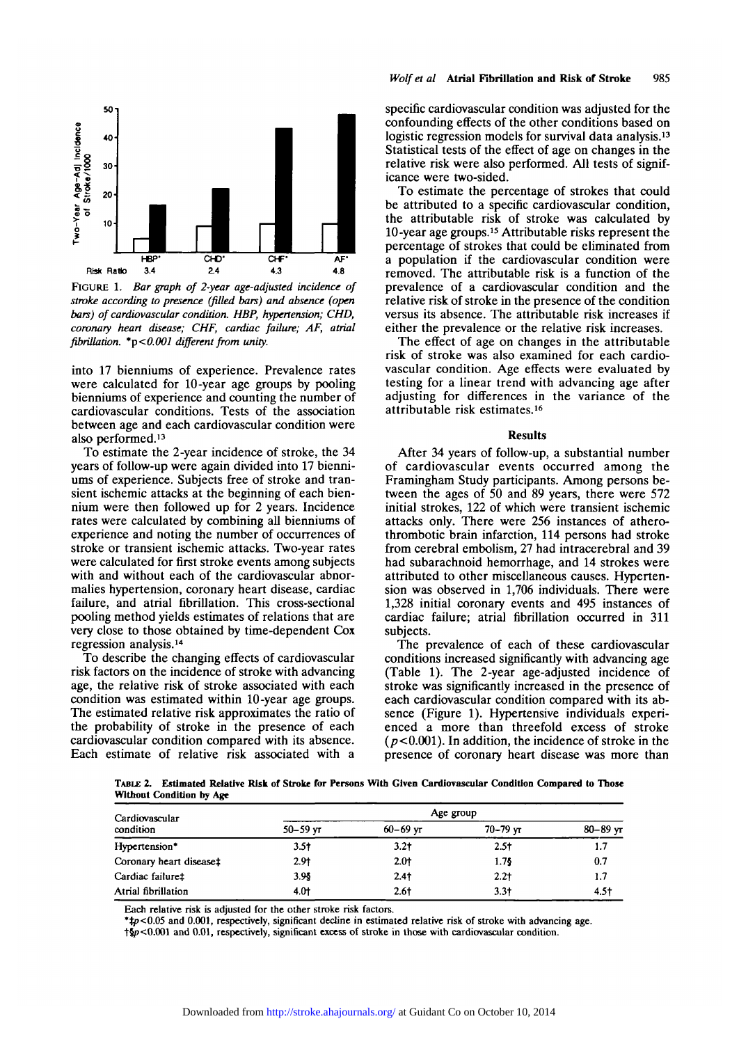

FIGURE 1. *Bar graph of 2-year age-adjusted incidence of stroke according to presence (filled bars) and absence (open bars) of cardiovascular condition. HBP, hypertension; CHD, coronary heart disease; CHF, cardiac failure; AF, atrial fibrillation. \*p<0.001 different from unity.*

into 17 bienniums of experience. Prevalence rates were calculated for 10-year age groups by pooling bienniums of experience and counting the number of cardiovascular conditions. Tests of the association between age and each cardiovascular condition were also performed.13

To estimate the 2-year incidence of stroke, the 34 years of follow-up were again divided into 17 bienniums of experience. Subjects free of stroke and transient ischemic attacks at the beginning of each biennium were then followed up for 2 years. Incidence rates were calculated by combining all bienniums of experience and noting the number of occurrences of stroke or transient ischemic attacks. Two-year rates were calculated for first stroke events among subjects with and without each of the cardiovascular abnormalies hypertension, coronary heart disease, cardiac failure, and atrial fibrillation. This cross-sectional pooling method yields estimates of relations that are very close to those obtained by time-dependent Cox regression analysis.14

To describe the changing effects of cardiovascular risk factors on the incidence of stroke with advancing age, the relative risk of stroke associated with each condition was estimated within 10-year age groups. The estimated relative risk approximates the ratio of the probability of stroke in the presence of each cardiovascular condition compared with its absence. Each estimate of relative risk associated with a

specific cardiovascular condition was adjusted for the confounding effects of the other conditions based on logistic regression models for survival data analysis.<sup>13</sup> Statistical tests of the effect of age on changes in the relative risk were also performed. All tests of signif- icance were two-sided.

To estimate the percentage of strokes that could be attributed to a specific cardiovascular condition, the attributable risk of stroke was calculated by 10-year age groups.15 Attributable risks represent the percentage of strokes that could be eliminated from a population if the cardiovascular condition were removed. The attributable risk is a function of the prevalence of a cardiovascular condition and the relative risk of stroke in the presence of the condition versus its absence. The attributable risk increases if either the prevalence or the relative risk increases.

The effect of age on changes in the attributable risk of stroke was also examined for each cardio- vascular condition. Age effects were evaluated by testing for a linear trend with advancing age after adjusting for differences in the variance of the attributable risk estimates.<sup>16</sup>

#### **Results**

After 34 years of follow-up, a substantial number of cardiovascular events occurred among the Framingham Study participants. Among persons between the ages of 50 and 89 years, there were 572 initial strokes, 122 of which were transient ischemic attacks only. There were 256 instances of atherothrombotic brain infarction, 114 persons had stroke from cerebral embolism, 27 had intracerebral and 39 had subarachnoid hemorrhage, and 14 strokes were attributed to other miscellaneous causes. Hypertension was observed in 1,706 individuals. There were 1,328 initial coronary events and 495 instances of cardiac failure; atrial fibrillation occurred in 311 subjects.

The prevalence of each of these cardiovascular conditions increased significantly with advancing age (Table 1). The 2-year age-adjusted incidence of stroke was significantly increased in the presence of each cardiovascular condition compared with its absence (Figure 1). Hypertensive individuals experienced a more than threefold excess of stroke  $(p<0.001)$ . In addition, the incidence of stroke in the presence of coronary heart disease was more than

TABLE 2. Estimated Relative Risk of Stroke for Persons With Given Cardiovascular Condition Compared to Those Without Condition by Age

| Cardiovascular<br>condition | Age group    |              |              |              |  |
|-----------------------------|--------------|--------------|--------------|--------------|--|
|                             | $50 - 59$ vt | $60 - 69$ yr | $70 - 79$ yr | $80 - 89$ yr |  |
| Hypertension*               | $3.5+$       | $3.2+$       | $2.5+$       | 1.7          |  |
| Coronary heart disease‡     | 2.91         | 2.01         | 1.75         | 0.7          |  |
| Cardiac failure‡            | 3.95         | $2.4+$       | $2.2+$       | 1.7          |  |
| Atrial fibrillation         | $4.0+$       | $2.6+$       | $3.3+$       | 4.5†         |  |

Each relative risk is adjusted for the other stroke risk factors. *\*tp<0.05* and 0.001, respectively, significant decline in estimated relative risk of stroke with advancing age.

t§p<0.001 and 0.01, respectively, significant excess of stroke in those with cardiovascular condition.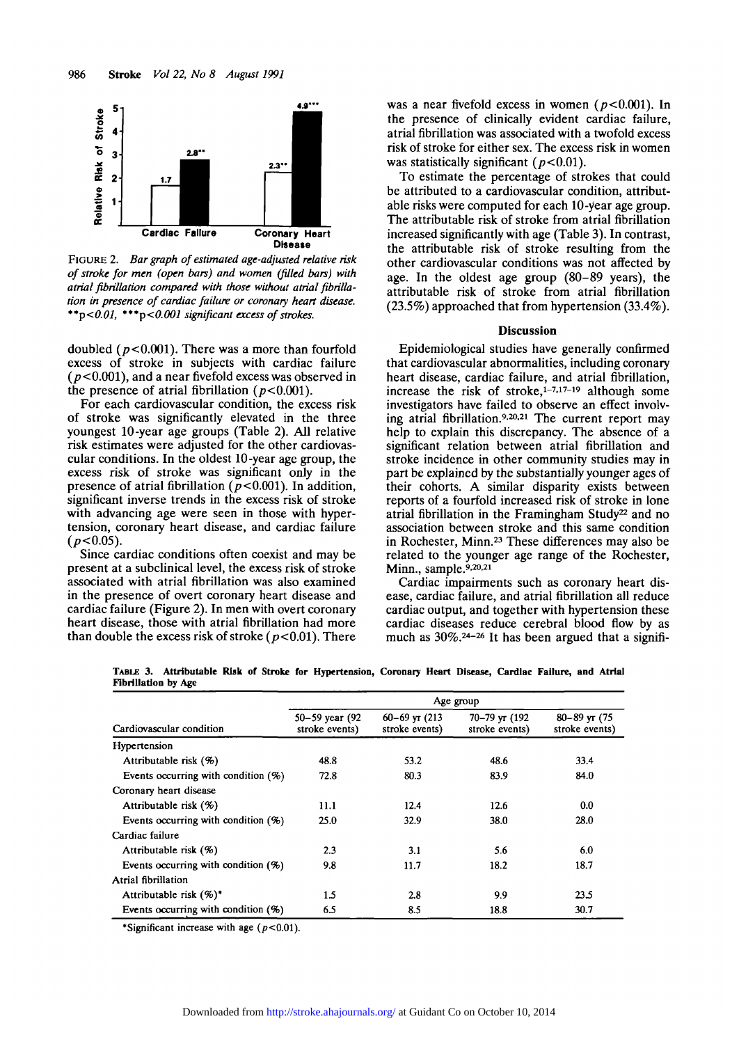

FIGURE 2. *Bar graph of estimated age-adjusted relative risk of stroke for men (open bars) and women (filled bars) with atrial fibrillation compared with those without atrial fibrillation in presence of cardiac failure or coronary heart disease. \*\*p<0.01, \*\*\*p<0.001 significant excess of strokes.*

doubled *(p<0.001).* There was a more than fourfold excess of stroke in subjects with cardiac failure  $(p<0.001)$ , and a near fivefold excess was observed in the presence of atrial fibrillation ( $p<0.001$ ).

For each cardiovascular condition, the excess risk of stroke was significantly elevated in the three youngest 10-year age groups (Table 2). All relative risk estimates were adjusted for the other cardiovascular conditions. In the oldest 10-year age group, the excess risk of stroke was significant only in the presence of atrial fibrillation  $(p<0.001)$ . In addition, significant inverse trends in the excess risk of stroke with advancing age were seen in those with hypertension, coronary heart disease, and cardiac failure *(p<0.05).*

Since cardiac conditions often coexist and may be present at a subclinical level, the excess risk of stroke associated with atrial fibrillation was also examined in the presence of overt coronary heart disease and cardiac failure (Figure 2). In men with overt coronary heart disease, those with atrial fibrillation had more than double the excess risk of stroke ( $p < 0.01$ ). There was a near fivefold excess in women *(p<0.001).* In the presence of clinically evident cardiac failure, atrial fibrillation was associated with a twofold excess risk of stroke for either sex. The excess risk in women was statistically significant ( $p<0.01$ ).

To estimate the percentage of strokes that could be attributed to a cardiovascular condition, attributable risks were computed for each 10-year age group. The attributable risk of stroke from atrial fibrillation increased significantly with age (Table 3). In contrast, the attributable risk of stroke resulting from the other cardiovascular conditions was not affected by age. In the oldest age group (80-89 years), the attributable risk of stroke from atrial fibrillation (23.5%) approached that from hypertension (33.4%).

## Discussion

Epidemiological studies have generally confirmed that cardiovascular abnormalities, including coronary heart disease, cardiac failure, and atrial fibrillation, increase the risk of stroke, $1-7,17-19$  although some investigators have failed to observe an effect involving atrial fibrillation.<sup>9,20,21</sup> The current report may help to explain this discrepancy. The absence of a significant relation between atrial fibrillation and stroke incidence in other community studies may in part be explained by the substantially younger ages of their cohorts. A similar disparity exists between reports of a fourfold increased risk of stroke in lone atrial fibrillation in the Framingham Study<sup>22</sup> and no association between stroke and this same condition in Rochester, Minn.23 These differences may also be related to the younger age range of the Rochester,  $Minn$ , sample.<sup>9,20,21</sup>

Cardiac impairments such as coronary heart disease, cardiac failure, and atrial fibrillation all reduce cardiac output, and together with hypertension these cardiac diseases reduce cerebral blood flow by as much as 30%.24- 26 It has been argued that a signifi-

**TABLE 3. Attributable Risk of Stroke for Hypertension, Coronary Heart Disease, Cardiac Failure, and Atrial Fibrillation by Age**

|                                        | Age group                        |                                        |                                 |                                       |  |
|----------------------------------------|----------------------------------|----------------------------------------|---------------------------------|---------------------------------------|--|
| Cardiovascular condition               | 50–59 year (92<br>stroke events) | $60 - 69$ yr $(213)$<br>stroke events) | 70–79 yr (192<br>stroke events) | $80 - 89$ yr $(75)$<br>stroke events) |  |
| Hypertension                           |                                  |                                        |                                 |                                       |  |
| Attributable risk $(\%)$               | 48.8                             | 53.2                                   | 48.6                            | 33.4                                  |  |
| Events occurring with condition $(\%)$ | 72.8                             | 80.3                                   | 83.9                            | 84.0                                  |  |
| Coronary heart disease                 |                                  |                                        |                                 |                                       |  |
| Attributable risk $(\%)$               | 11.1                             | 12.4                                   | 12.6                            | 0.0                                   |  |
| Events occurring with condition $(%)$  | 25.0                             | 32.9                                   | 38.0                            | 28.0                                  |  |
| Cardiac failure                        |                                  |                                        |                                 |                                       |  |
| Attributable risk $(\%)$               | 2.3                              | 3.1                                    | 5.6                             | 6.0                                   |  |
| Events occurring with condition $(%)$  | 9.8                              | 11.7                                   | 18.2                            | 18.7                                  |  |
| Atrial fibrillation                    |                                  |                                        |                                 |                                       |  |
| Attributable risk $(\%)^*$             | 1.5                              | 2.8                                    | 9.9                             | 23.5                                  |  |
| Events occurring with condition $(%)$  | 6.5                              | 8.5                                    | 18.8                            | 30.7                                  |  |

\*Significant increase with age  $(p<0.01)$ .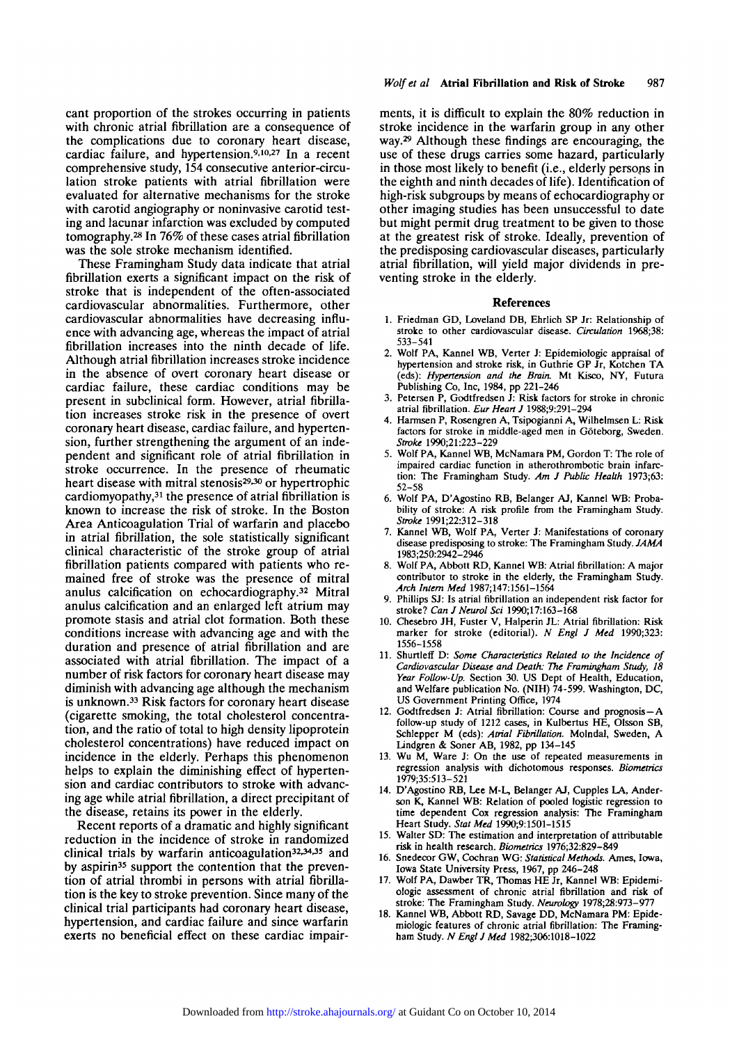cant proportion of the strokes occurring in patients with chronic atrial fibrillation are a consequence of the complications due to coronary heart disease, cardiac failure, and hypertension.<sup>9,10,27</sup> In a recent comprehensive study, 154 consecutive anterior-circulation stroke patients with atrial fibrillation were evaluated for alternative mechanisms for the stroke with carotid angiography or noninvasive carotid testing and lacunar infarction was excluded by computed tomography.28 In 76% of these cases atrial fibrillation was the sole stroke mechanism identified.

These Framingham Study data indicate that atrial fibrillation exerts a significant impact on the risk of stroke that is independent of the often-associated cardiovascular abnormalities. Furthermore, other cardiovascular abnormalities have decreasing influence with advancing age, whereas the impact of atrial fibrillation increases into the ninth decade of life. Although atrial fibrillation increases stroke incidence in the absence of overt coronary heart disease or cardiac failure, these cardiac conditions may be present in subclinical form. However, atrial fibrillation increases stroke risk in the presence of overt coronary heart disease, cardiac failure, and hypertension, further strengthening the argument of an independent and significant role of atrial fibrillation in stroke occurrence. In the presence of rheumatic heart disease with mitral stenosis<sup>29,30</sup> or hypertrophic cardiomyopathy,<sup>31</sup> the presence of atrial fibrillation is known to increase the risk of stroke. In the Boston Area Anticoagulation Trial of warfarin and placebo in atrial fibrillation, the sole statistically significant clinical characteristic of the stroke group of atrial fibrillation patients compared with patients who remained free of stroke was the presence of mitral anulus calcification on echocardiography.32 Mitral anulus calcification and an enlarged left atrium may promote stasis and atrial clot formation. Both these conditions increase with advancing age and with the duration and presence of atrial fibrillation and are associated with atrial fibrillation. The impact of a number of risk factors for coronary heart disease may diminish with advancing age although the mechanism is unknown.33 Risk factors for coronary heart disease (cigarette smoking, the total cholesterol concentration, and the ratio of total to high density lipoprotein cholesterol concentrations) have reduced impact on incidence in the elderly. Perhaps this phenomenon helps to explain the diminishing effect of hypertension and cardiac contributors to stroke with advancing age while atrial fibrillation, a direct precipitant of the disease, retains its power in the elderly.

Recent reports of a dramatic and highly significant reduction in the incidence of stroke in randomized clinical trials by warfarin anticoagulation<sup>32,34,35</sup> and by aspirin<sup>35</sup> support the contention that the prevention of atrial thrombi in persons with atrial fibrillation is the key to stroke prevention. Since many of the clinical trial participants had coronary heart disease, hypertension, and cardiac failure and since warfarin exerts no beneficial effect on these cardiac impairments, it is difficult to explain the 80% reduction in stroke incidence in the warfarin group in any other way.29 Although these findings are encouraging, the use of these drugs carries some hazard, particularly in those most likely to benefit (i.e., elderly persons in the eighth and ninth decades of life). Identification of high-risk subgroups by means of echocardiography or other imaging studies has been unsuccessful to date but might permit drug treatment to be given to those at the greatest risk of stroke. Ideally, prevention of the predisposing cardiovascular diseases, particularly atrial fibrillation, will yield major dividends in preventing stroke in the elderly.

### References

- 1. Friedman GD, Loveland DB, Ehrlich SP Jr: Relationship of stroke to other cardiovascular disease. *Circulation* 1968;38: 533-541
- 2. Wolf PA, Kannel WB, Verter J: Epidemiologic appraisal of hypertension and stroke risk, in Guthrie GP Jr, Kotchen TA (eds): *Hypertension and the Brain.* Mt Kisco, NY, Futura Publishing Co, Inc, 1984, pp 221-246
- 3. Petersen P, Godtfredsen J: Risk factors for stroke in chronic atrial fibrillation. *Eur Heart J* 1988;9:291-294
- 4. Harmsen P, Rosengren A, Tsipogianni A, Wilhelmsen L: Risk factors for stroke in middle-aged men in Goteborg, Sweden. *Stroke* 1990;21:223-229
- 5. Wolf PA, Kannel WB, McNamara PM, Gordon T: The role of impaired cardiac function in atherothrombotic brain infarc-<br>tion: The Framingham Study. *Am J Public Health* 1973;63:<br>52-58<br>6. Wolf PA, D'Agostino RB, Belanger AJ, Kannel WB: Proba-
- bility of stroke: A risk profile from the Framingham Study. *Stroke* 1991;22:312-318
- 7. Kannel WB, Wolf PA, Verter J: Manifestations of coronary disease predisposing to stroke: The Framingham Study. *JAMA* 1983;250:2942-2946<br>8. Wolf PA, Abbott RD, Kannel WB: Atrial fibrillation: A major
- contributor to stroke in the elderly, the Framingham Study. *Arch Intern Med* 1987;147:1561-1564
- 9. Phillips SJ: Is atrial fibrillation an independent risk factor for stroke? *Can J Neurol Sci* 1990;17:163-168
- 10. Chesebro JH, Fuster V, Halpcrin JL: Atrial fibrillation: Risk marker for stroke (editorial). *N Engl J Med* 1990;323: 1556-1558
- 11. Shurtleff D: *Some Characteristics Related to the Incidence of Cardiovascular Disease and Death: The Framingham Study, 18 Year Follow-Up.* Section 30. US Dept of Health, Education, and Welfare publication No. (NIH) 74-599. Washington, DC, US Government Printing Office, 1974
- 12. Godtfredsen J: Atrial fibrillation: Course and prognosis —A follow-up study of 1212 cases, in Kulbertus HE, Olsson SB, Schlepper M (eds): *Atrial Fibrillation.* Molndal, Sweden, A Lindgren & Soner AB, 1982, pp 134-145
- 13. Wu M, Ware J: On the use of repeated measurements in regression analysis with dichotomous responses. *Biometrics* 1979;35:513-521
- 14. D'Agostino RB, Lee M-L, Belanger AJ, Cupples LA, Ander- son K, Kannel WB: Relation of pooled logistic regression to time dependent Cox regression analysis: The Framingham Heart Study. *Stat Med* 199O;9:1501-1515
- 15. Walter SD: The estimation and interpretation of attributable risk in health research. *Biometrics* 1976;32:829-849
- 16. Snedecor GW, Cochran WG: *Statistical Methods*. Ames, Iowa, Iowa State University Press, 1967, pp 246-248<br>17. Wolf PA, Dawber TR, Thomas HE Jr, Kannel WB: Epidemi-
- ologic assessment of chronic atrial fibrillation and risk of stroke: The Framingham Study. Neurology 1978;28:973-977
- 18. Kannel WB, Abbott RD, Savage DD, McNamara PM: Epide-miologic features of chronic atrial fibrillation: The Framing-<br>ham Study. N Engl J Med 1982;306:1018-1022